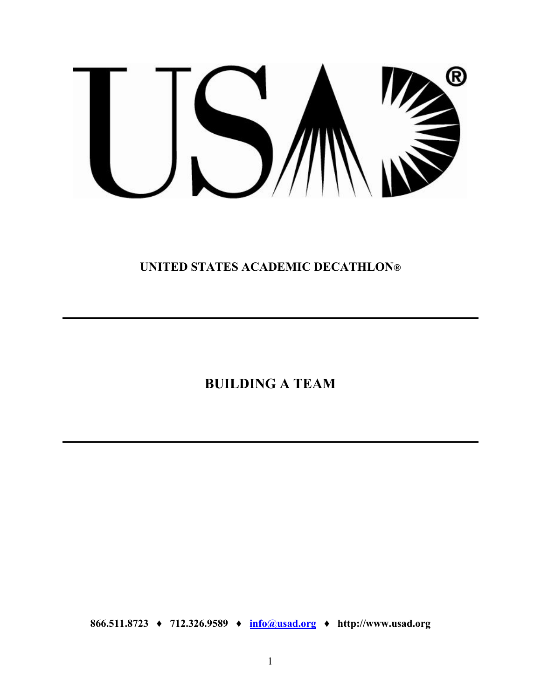# $^{\circledR}$ ┑

**UNITED STATES ACADEMIC DECATHLON®**

**BUILDING A TEAM** 

**866.511.8723 ♦ 712.326.9589 ♦ info[@usad.org](mailto:info@usad.org) ♦ http://www.usad.org**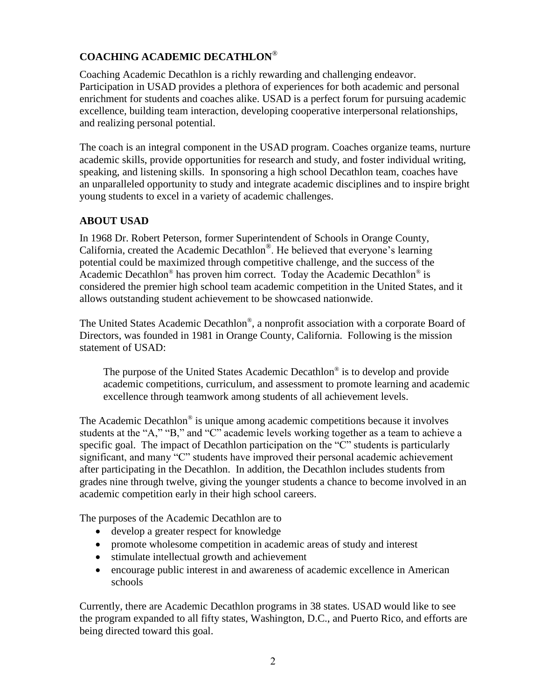# **COACHING ACADEMIC DECATHLON**®

Coaching Academic Decathlon is a richly rewarding and challenging endeavor. Participation in USAD provides a plethora of experiences for both academic and personal enrichment for students and coaches alike. USAD is a perfect forum for pursuing academic excellence, building team interaction, developing cooperative interpersonal relationships, and realizing personal potential.

The coach is an integral component in the USAD program. Coaches organize teams, nurture academic skills, provide opportunities for research and study, and foster individual writing, speaking, and listening skills. In sponsoring a high school Decathlon team, coaches have an unparalleled opportunity to study and integrate academic disciplines and to inspire bright young students to excel in a variety of academic challenges.

# **ABOUT USAD**

In 1968 Dr. Robert Peterson, former Superintendent of Schools in Orange County, California, created the Academic Decathlon® . He believed that everyone's learning potential could be maximized through competitive challenge, and the success of the Academic Decathlon® has proven him correct. Today the Academic Decathlon® is considered the premier high school team academic competition in the United States, and it allows outstanding student achievement to be showcased nationwide.

The United States Academic Decathlon® , a nonprofit association with a corporate Board of Directors, was founded in 1981 in Orange County, California. Following is the mission statement of USAD:

The purpose of the United States Academic Decathlon® is to develop and provide academic competitions, curriculum, and assessment to promote learning and academic excellence through teamwork among students of all achievement levels.

The Academic Decathlon® is unique among academic competitions because it involves students at the "A," "B," and "C" academic levels working together as a team to achieve a specific goal. The impact of Decathlon participation on the "C" students is particularly significant, and many "C" students have improved their personal academic achievement after participating in the Decathlon. In addition, the Decathlon includes students from grades nine through twelve, giving the younger students a chance to become involved in an academic competition early in their high school careers.

The purposes of the Academic Decathlon are to

- develop a greater respect for knowledge
- promote wholesome competition in academic areas of study and interest
- stimulate intellectual growth and achievement
- encourage public interest in and awareness of academic excellence in American schools

Currently, there are Academic Decathlon programs in 38 states. USAD would like to see the program expanded to all fifty states, Washington, D.C., and Puerto Rico, and efforts are being directed toward this goal.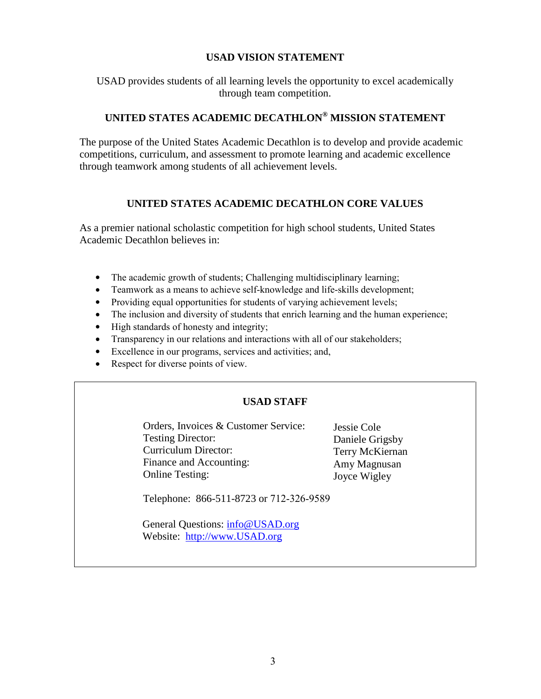#### **USAD VISION STATEMENT**

USAD provides students of all learning levels the opportunity to excel academically through team competition.

# **UNITED STATES ACADEMIC DECATHLON® MISSION STATEMENT**

The purpose of the United States Academic Decathlon is to develop and provide academic competitions, curriculum, and assessment to promote learning and academic excellence through teamwork among students of all achievement levels.

## **UNITED STATES ACADEMIC DECATHLON CORE VALUES**

As a premier national scholastic competition for high school students, United States Academic Decathlon believes in:

- The academic growth of students; Challenging multidisciplinary learning;
- Teamwork as a means to achieve self-knowledge and life-skills development;
- Providing equa[l opportunities f](http://usad.org/About/Mission.asp)or students of varying achievement levels;
- The inclusion and diversity of students that enrich learning and the human experience;
- High standards of honesty and integrity;
- Transparency in our relations and interactions with all of our stakeholders;
- Excellence in our programs, services and activities; and,
- Respect for diverse points of view.

#### **USAD STAFF**

Orders, Invoices & Customer Service: Testing Director: Curriculum Director: Finance and Accounting: Online Testing:

Jessie Cole Daniele Grigsby Terry McKiernan Amy Magnusan Joyce Wigley

Telephone: 866-511-8723 or 712-326-9589

General Questions: info@USAD.org [Website: http://www.USA](http://www.usad.org/)D.org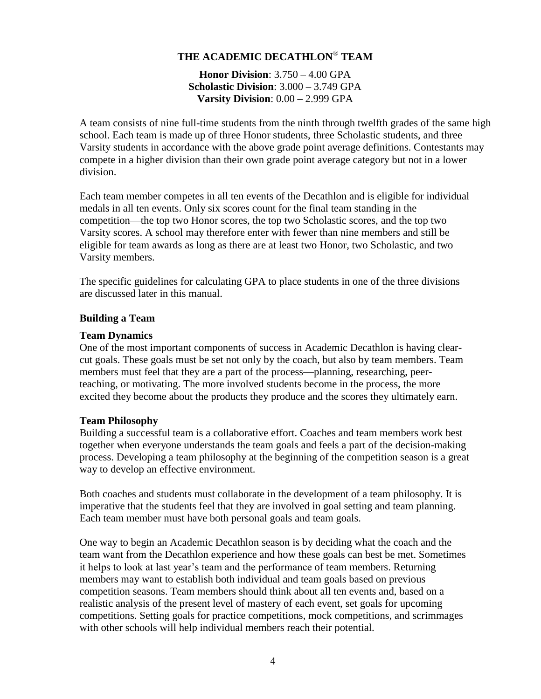# **THE ACADEMIC DECATHLON**® **TEAM**

**Honor Division**: 3.750 – 4.00 GPA **Scholastic Division**: 3.000 – 3.749 GPA **Varsity Division**: 0.00 – 2.999 GPA

A team consists of nine full-time students from the ninth through twelfth grades of the same high school. Each team is made up of three Honor students, three Scholastic students, and three Varsity students in accordance with the above grade point average definitions. Contestants may compete in a higher division than their own grade point average category but not in a lower division.

Each team member competes in all ten events of the Decathlon and is eligible for individual medals in all ten events. Only six scores count for the final team standing in the competition—the top two Honor scores, the top two Scholastic scores, and the top two Varsity scores. A school may therefore enter with fewer than nine members and still be eligible for team awards as long as there are at least two Honor, two Scholastic, and two Varsity members.

The specific guidelines for calculating GPA to place students in one of the three divisions are discussed later in this manual.

#### **Building a Team**

#### **Team Dynamics**

One of the most important components of success in Academic Decathlon is having clearcut goals. These goals must be set not only by the coach, but also by team members. Team members must feel that they are a part of the process—planning, researching, peerteaching, or motivating. The more involved students become in the process, the more excited they become about the products they produce and the scores they ultimately earn.

#### **Team Philosophy**

Building a successful team is a collaborative effort. Coaches and team members work best together when everyone understands the team goals and feels a part of the decision-making process. Developing a team philosophy at the beginning of the competition season is a great way to develop an effective environment.

Both coaches and students must collaborate in the development of a team philosophy. It is imperative that the students feel that they are involved in goal setting and team planning. Each team member must have both personal goals and team goals.

One way to begin an Academic Decathlon season is by deciding what the coach and the team want from the Decathlon experience and how these goals can best be met. Sometimes it helps to look at last year's team and the performance of team members. Returning members may want to establish both individual and team goals based on previous competition seasons. Team members should think about all ten events and, based on a realistic analysis of the present level of mastery of each event, set goals for upcoming competitions. Setting goals for practice competitions, mock competitions, and scrimmages with other schools will help individual members reach their potential.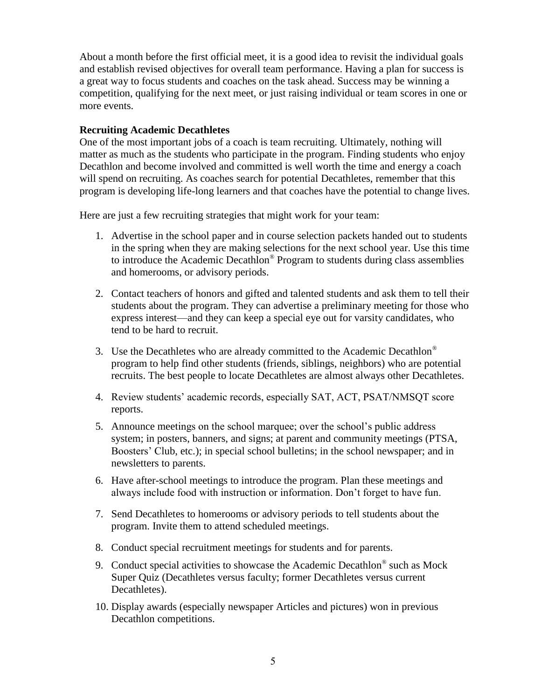About a month before the first official meet, it is a good idea to revisit the individual goals and establish revised objectives for overall team performance. Having a plan for success is a great way to focus students and coaches on the task ahead. Success may be winning a competition, qualifying for the next meet, or just raising individual or team scores in one or more events.

#### **Recruiting Academic Decathletes**

One of the most important jobs of a coach is team recruiting. Ultimately, nothing will matter as much as the students who participate in the program. Finding students who enjoy Decathlon and become involved and committed is well worth the time and energy a coach will spend on recruiting. As coaches search for potential Decathletes, remember that this program is developing life-long learners and that coaches have the potential to change lives.

Here are just a few recruiting strategies that might work for your team:

- 1. Advertise in the school paper and in course selection packets handed out to students in the spring when they are making selections for the next school year. Use this time to introduce the Academic Decathlon® Program to students during class assemblies and homerooms, or advisory periods.
- 2. Contact teachers of honors and gifted and talented students and ask them to tell their students about the program. They can advertise a preliminary meeting for those who express interest—and they can keep a special eye out for varsity candidates, who tend to be hard to recruit.
- 3. Use the Decathletes who are already committed to the Academic Decathlon® program to help find other students (friends, siblings, neighbors) who are potential recruits. The best people to locate Decathletes are almost always other Decathletes.
- 4. Review students' academic records, especially SAT, ACT, PSAT/NMSQT score reports.
- 5. Announce meetings on the school marquee; over the school's public address system; in posters, banners, and signs; at parent and community meetings (PTSA, Boosters' Club, etc.); in special school bulletins; in the school newspaper; and in newsletters to parents.
- 6. Have after-school meetings to introduce the program. Plan these meetings and always include food with instruction or information. Don't forget to have fun.
- 7. Send Decathletes to homerooms or advisory periods to tell students about the program. Invite them to attend scheduled meetings.
- 8. Conduct special recruitment meetings for students and for parents.
- 9. Conduct special activities to showcase the Academic Decathlon® such as Mock Super Quiz (Decathletes versus faculty; former Decathletes versus current Decathletes).
- 10. Display awards (especially newspaper Articles and pictures) won in previous Decathlon competitions.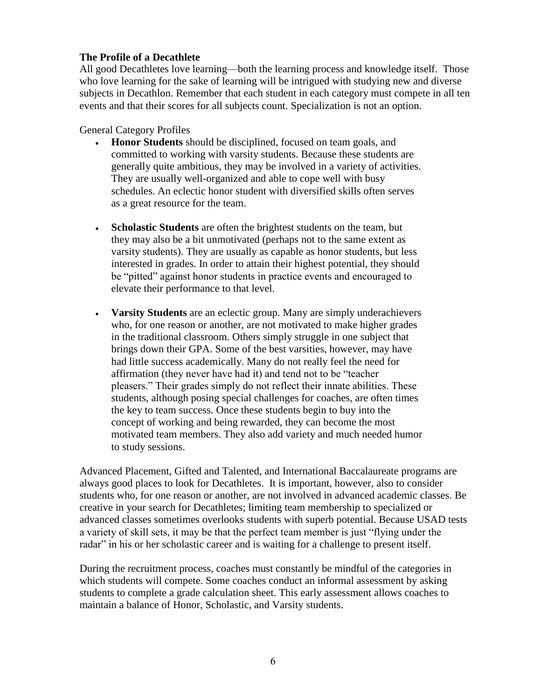#### **The Profile of a Decathlete**

All good Decathletes love learning—both the learning process and knowledge itself. Those who love learning for the sake of learning will be intrigued with studying new and diverse subjects in Decathlon. Remember that each student in each category must compete in all ten events and that their scores for all subjects count. Specialization is not an option.

#### General Category Profiles

- **Honor Students** should be disciplined, focused on team goals, and committed to working with varsity students. Because these students are generally quite ambitious, they may be involved in a variety of activities. They are usually well-organized and able to cope well with busy schedules. An eclectic honor student with diversified skills often serves as a great resource for the team.
- **Scholastic Students** are often the brightest students on the team, but they may also be a bit unmotivated (perhaps not to the same extent as varsity students). They are usually as capable as honor students, but less interested in grades. In order to attain their highest potential, they should be "pitted" against honor students in practice events and encouraged to elevate their performance to that level.
- **Varsity Students** are an eclectic group. Many are simply underachievers who, for one reason or another, are not motivated to make higher grades in the traditional classroom. Others simply struggle in one subject that brings down their GPA. Some of the best varsities, however, may have had little success academically. Many do not really feel the need for affirmation (they never have had it) and tend not to be "teacher pleasers." Their grades simply do not reflect their innate abilities. These students, although posing special challenges for coaches, are often times the key to team success. Once these students begin to buy into the concept of working and being rewarded, they can become the most motivated team members. They also add variety and much needed humor to study sessions.

Advanced Placement, Gifted and Talented, and International Baccalaureate programs are always good places to look for Decathletes. It is important, however, also to consider students who, for one reason or another, are not involved in advanced academic classes. Be creative in your search for Decathletes; limiting team membership to specialized or advanced classes sometimes overlooks students with superb potential. Because USAD tests a variety of skill sets, it may be that the perfect team member is just "flying under the radar" in his or her scholastic career and is waiting for a challenge to present itself.

During the recruitment process, coaches must constantly be mindful of the categories in which students will compete. Some coaches conduct an informal assessment by asking students to complete a grade calculation sheet. This early assessment allows coaches to maintain a balance of Honor, Scholastic, and Varsity students.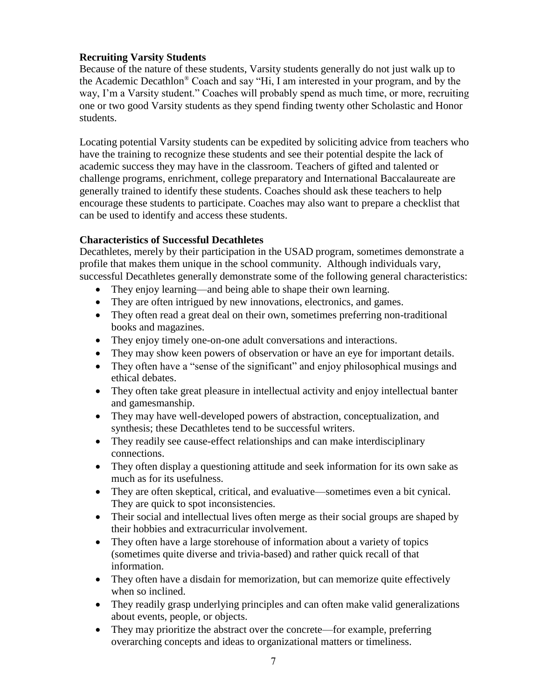## **Recruiting Varsity Students**

Because of the nature of these students, Varsity students generally do not just walk up to the Academic Decathlon® Coach and say "Hi, I am interested in your program, and by the way, I'm a Varsity student." Coaches will probably spend as much time, or more, recruiting one or two good Varsity students as they spend finding twenty other Scholastic and Honor students.

Locating potential Varsity students can be expedited by soliciting advice from teachers who have the training to recognize these students and see their potential despite the lack of academic success they may have in the classroom. Teachers of gifted and talented or challenge programs, enrichment, college preparatory and International Baccalaureate are generally trained to identify these students. Coaches should ask these teachers to help encourage these students to participate. Coaches may also want to prepare a checklist that can be used to identify and access these students.

# **Characteristics of Successful Decathletes**

Decathletes, merely by their participation in the USAD program, sometimes demonstrate a profile that makes them unique in the school community. Although individuals vary, successful Decathletes generally demonstrate some of the following general characteristics:

- They enjoy learning—and being able to shape their own learning.
- They are often intrigued by new innovations, electronics, and games.
- They often read a great deal on their own, sometimes preferring non-traditional books and magazines.
- They enjoy timely one-on-one adult conversations and interactions.
- They may show keen powers of observation or have an eye for important details.
- They often have a "sense of the significant" and enjoy philosophical musings and ethical debates.
- They often take great pleasure in intellectual activity and enjoy intellectual banter and gamesmanship.
- They may have well-developed powers of abstraction, conceptualization, and synthesis; these Decathletes tend to be successful writers.
- They readily see cause-effect relationships and can make interdisciplinary connections.
- They often display a questioning attitude and seek information for its own sake as much as for its usefulness.
- They are often skeptical, critical, and evaluative—sometimes even a bit cynical. They are quick to spot inconsistencies.
- Their social and intellectual lives often merge as their social groups are shaped by their hobbies and extracurricular involvement.
- They often have a large storehouse of information about a variety of topics (sometimes quite diverse and trivia-based) and rather quick recall of that information.
- They often have a disdain for memorization, but can memorize quite effectively when so inclined.
- They readily grasp underlying principles and can often make valid generalizations about events, people, or objects.
- They may prioritize the abstract over the concrete—for example, preferring overarching concepts and ideas to organizational matters or timeliness.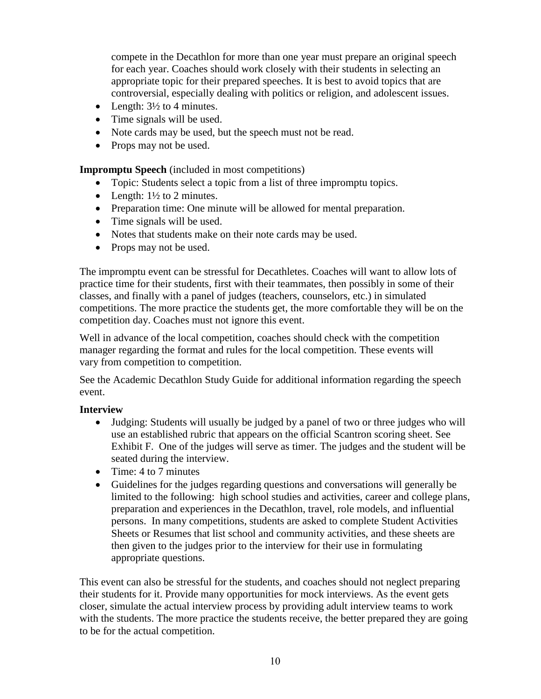compete in the Decathlon for more than one year must prepare an original speech for each year. Coaches should work closely with their students in selecting an appropriate topic for their prepared speeches. It is best to avoid topics that are controversial, especially dealing with politics or religion, and adolescent issues.

- Length:  $3\frac{1}{2}$  to 4 minutes.
- Time signals will be used.
- Note cards may be used, but the speech must not be read.
- Props may not be used.

**Impromptu Speech** (included in most competitions)

- Topic: Students select a topic from a list of three impromptu topics.
- Length:  $1\frac{1}{2}$  to 2 minutes.
- Preparation time: One minute will be allowed for mental preparation.
- Time signals will be used.
- Notes that students make on their note cards may be used.
- Props may not be used.

The impromptu event can be stressful for Decathletes. Coaches will want to allow lots of practice time for their students, first with their teammates, then possibly in some of their classes, and finally with a panel of judges (teachers, counselors, etc.) in simulated competitions. The more practice the students get, the more comfortable they will be on the competition day. Coaches must not ignore this event.

Well in advance of the local competition, coaches should check with the competition manager regarding the format and rules for the local competition. These events will vary from competition to competition.

See the Academic Decathlon Study Guide for additional information regarding the speech event.

## **Interview**

- Judging: Students will usually be judged by a panel of two or three judges who will use an established rubric that appears on the official Scantron scoring sheet. See Exhibit F. One of the judges will serve as timer. The judges and the student will be seated during the interview.
- $\bullet$  Time: 4 to 7 minutes
- Guidelines for the judges regarding questions and conversations will generally be limited to the following: high school studies and activities, career and college plans, preparation and experiences in the Decathlon, travel, role models, and influential persons. In many competitions, students are asked to complete Student Activities Sheets or Resumes that list school and community activities, and these sheets are then given to the judges prior to the interview for their use in formulating appropriate questions.

This event can also be stressful for the students, and coaches should not neglect preparing their students for it. Provide many opportunities for mock interviews. As the event gets closer, simulate the actual interview process by providing adult interview teams to work with the students. The more practice the students receive, the better prepared they are going to be for the actual competition.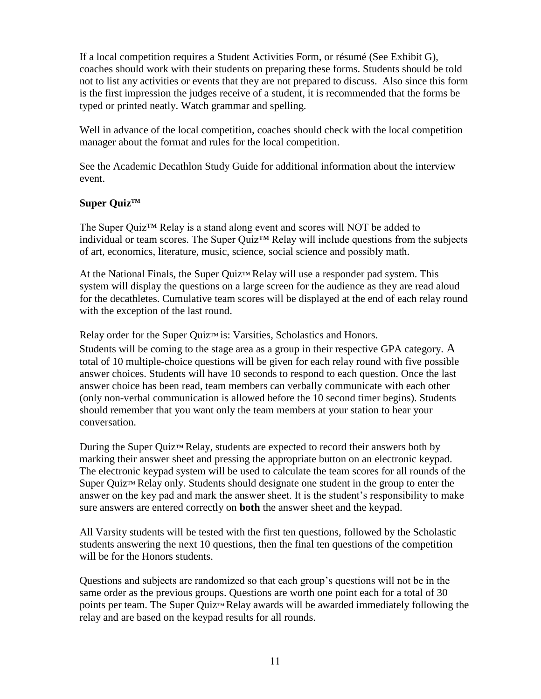# UNITED STATES ACADEMIC DECATHLON ®

# **BUILDING A TEAM**

866.511.8723 712.3269589

info@usad.org

http://www.usad.org